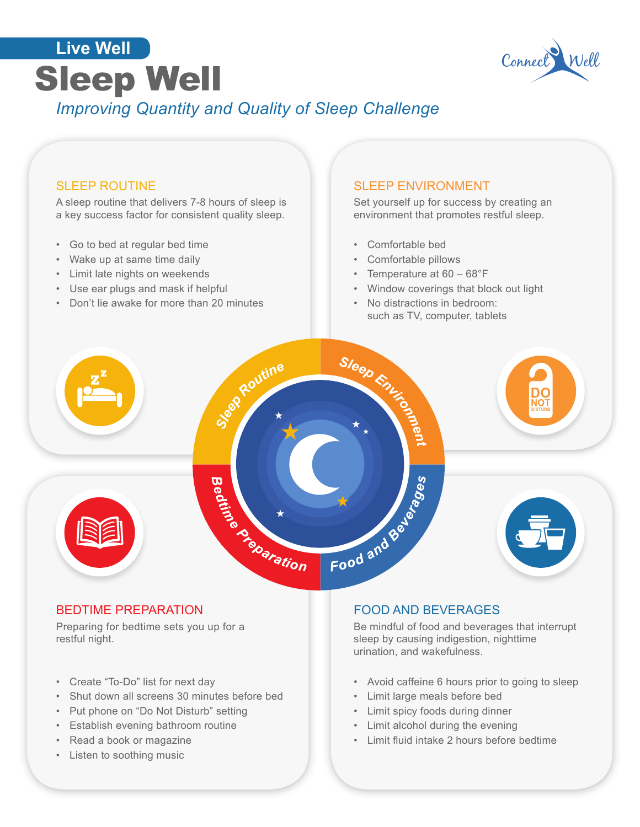



## SLEEP ROUTINE

A sleep routine that delivers 7-8 hours of sleep is a key success factor for consistent quality sleep.

- Go to bed at regular bed time
- Wake up at same time daily
- Limit late nights on weekends
- Use ear plugs and mask if helpful
- Don't lie awake for more than 20 minutes

#### SLEEP ENVIRONMENT

Set yourself up for success by creating an environment that promotes restful sleep.

- Comfortable bed
- Comfortable pillows
- Temperature at 60 68°F
- Window coverings that block out light
- No distractions in bedroom: such as TV, computer, tablets



## BEDTIME PREPARATION

Preparing for bedtime sets you up for a restful night.

- Create "To-Do" list for next day
- Shut down all screens 30 minutes before bed
- Put phone on "Do Not Disturb" setting
- Establish evening bathroom routine
- Read a book or magazine
- Listen to soothing music

## FOOD AND BEVERAGES

Be mindful of food and beverages that interrupt sleep by causing indigestion, nighttime urination, and wakefulness.

- Avoid caffeine 6 hours prior to going to sleep
- Limit large meals before bed
- Limit spicy foods during dinner
- Limit alcohol during the evening
- Limit fluid intake 2 hours before bedtime